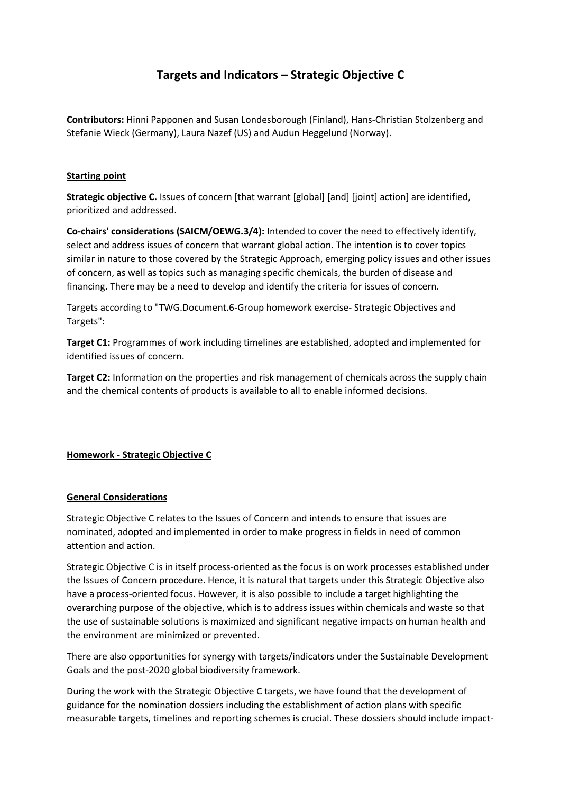# **Targets and Indicators – Strategic Objective C**

**Contributors:** Hinni Papponen and Susan Londesborough (Finland), Hans-Christian Stolzenberg and Stefanie Wieck (Germany), Laura Nazef (US) and Audun Heggelund (Norway).

#### **Starting point**

**Strategic objective C.** Issues of concern [that warrant [global] [and] [joint] action] are identified, prioritized and addressed.

**Co-chairs' considerations (SAICM/OEWG.3/4):** Intended to cover the need to effectively identify, select and address issues of concern that warrant global action. The intention is to cover topics similar in nature to those covered by the Strategic Approach, emerging policy issues and other issues of concern, as well as topics such as managing specific chemicals, the burden of disease and financing. There may be a need to develop and identify the criteria for issues of concern.

Targets according to "TWG.Document.6-Group homework exercise- Strategic Objectives and Targets":

**Target C1:** Programmes of work including timelines are established, adopted and implemented for identified issues of concern.

**Target C2:** Information on the properties and risk management of chemicals across the supply chain and the chemical contents of products is available to all to enable informed decisions.

#### **Homework - Strategic Objective C**

#### **General Considerations**

Strategic Objective C relates to the Issues of Concern and intends to ensure that issues are nominated, adopted and implemented in order to make progress in fields in need of common attention and action.

Strategic Objective C is in itself process-oriented as the focus is on work processes established under the Issues of Concern procedure. Hence, it is natural that targets under this Strategic Objective also have a process-oriented focus. However, it is also possible to include a target highlighting the overarching purpose of the objective, which is to address issues within chemicals and waste so that the use of sustainable solutions is maximized and significant negative impacts on human health and the environment are minimized or prevented.

There are also opportunities for synergy with targets/indicators under the Sustainable Development Goals and the post-2020 global biodiversity framework.

During the work with the Strategic Objective C targets, we have found that the development of guidance for the nomination dossiers including the establishment of action plans with specific measurable targets, timelines and reporting schemes is crucial. These dossiers should include impact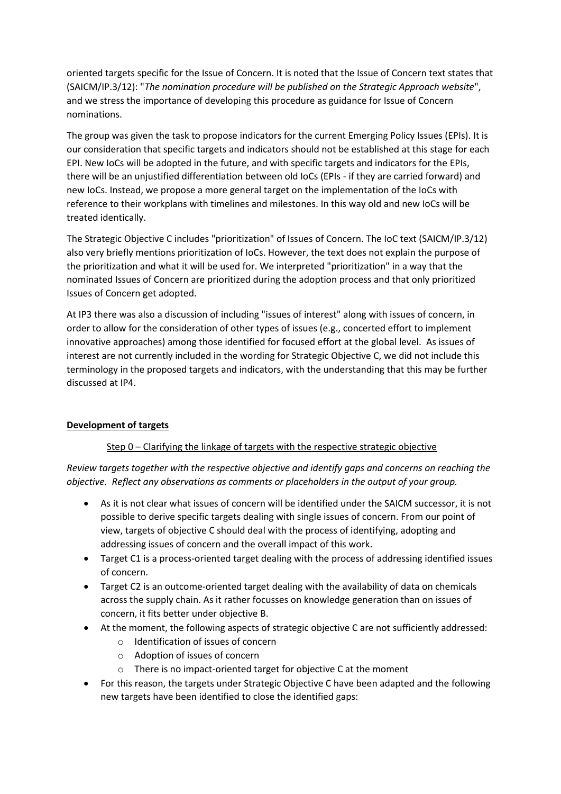oriented targets specific for the Issue of Concern. It is noted that the Issue of Concern text states that (SAICM/IP.3/12): "*The nomination procedure will be published on the Strategic Approach website*", and we stress the importance of developing this procedure as guidance for Issue of Concern nominations.

The group was given the task to propose indicators for the current Emerging Policy Issues (EPIs). It is our consideration that specific targets and indicators should not be established at this stage for each EPI. New IoCs will be adopted in the future, and with specific targets and indicators for the EPIs, there will be an unjustified differentiation between old IoCs (EPIs - if they are carried forward) and new IoCs. Instead, we propose a more general target on the implementation of the IoCs with reference to their workplans with timelines and milestones. In this way old and new IoCs will be treated identically.

The Strategic Objective C includes "prioritization" of Issues of Concern. The IoC text (SAICM/IP.3/12) also very briefly mentions prioritization of IoCs. However, the text does not explain the purpose of the prioritization and what it will be used for. We interpreted "prioritization" in a way that the nominated Issues of Concern are prioritized during the adoption process and that only prioritized Issues of Concern get adopted.

At IP3 there was also a discussion of including "issues of interest" along with issues of concern, in order to allow for the consideration of other types of issues (e.g., concerted effort to implement innovative approaches) among those identified for focused effort at the global level. As issues of interest are not currently included in the wording for Strategic Objective C, we did not include this terminology in the proposed targets and indicators, with the understanding that this may be further discussed at IP4.

#### **Development of targets**

#### Step 0 – Clarifying the linkage of targets with the respective strategic objective

*Review targets together with the respective objective and identify gaps and concerns on reaching the objective. Reflect any observations as comments or placeholders in the output of your group.* 

- As it is not clear what issues of concern will be identified under the SAICM successor, it is not possible to derive specific targets dealing with single issues of concern. From our point of view, targets of objective C should deal with the process of identifying, adopting and addressing issues of concern and the overall impact of this work.
- Target C1 is a process-oriented target dealing with the process of addressing identified issues of concern.
- Target C2 is an outcome-oriented target dealing with the availability of data on chemicals across the supply chain. As it rather focusses on knowledge generation than on issues of concern, it fits better under objective B.
- At the moment, the following aspects of strategic objective C are not sufficiently addressed:
	- o Identification of issues of concern
	- o Adoption of issues of concern
	- o There is no impact-oriented target for objective C at the moment
- For this reason, the targets under Strategic Objective C have been adapted and the following new targets have been identified to close the identified gaps: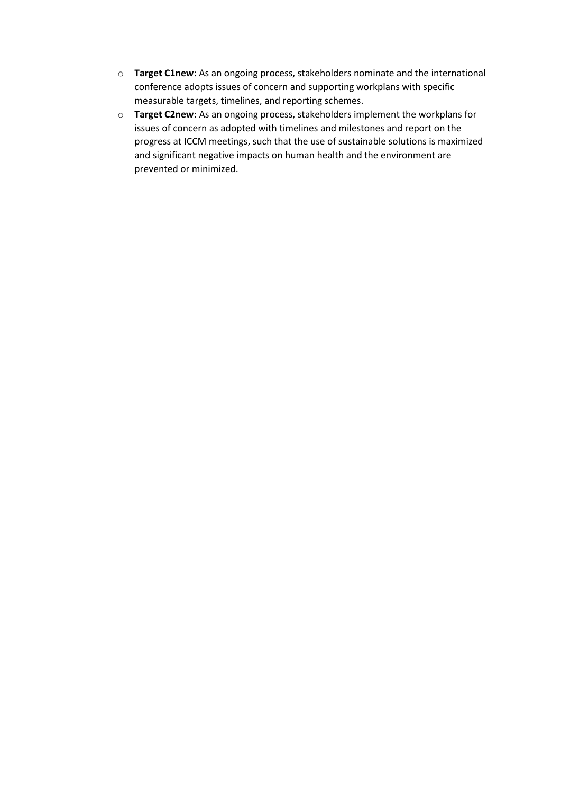- o **Target C1new**: As an ongoing process, stakeholders nominate and the international conference adopts issues of concern and supporting workplans with specific measurable targets, timelines, and reporting schemes.
- o **Target C2new:** As an ongoing process, stakeholders implement the workplans for issues of concern as adopted with timelines and milestones and report on the progress at ICCM meetings, such that the use of sustainable solutions is maximized and significant negative impacts on human health and the environment are prevented or minimized.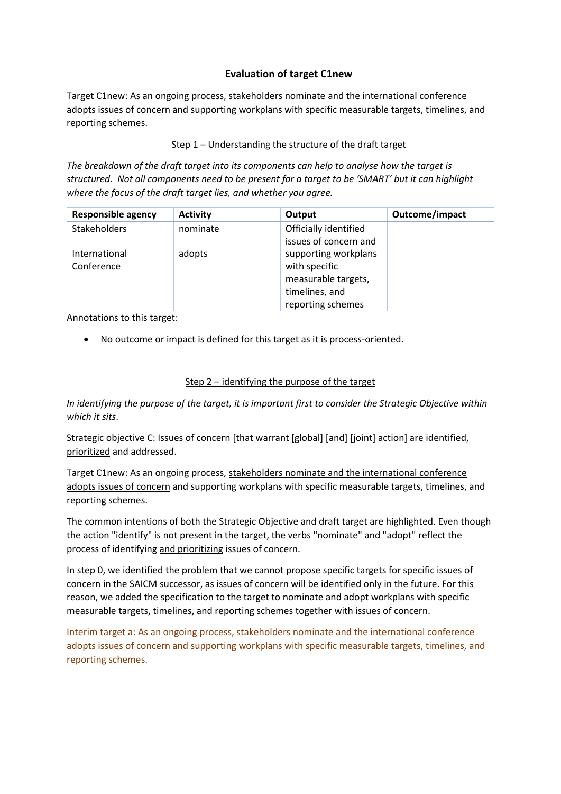# **Evaluation of target C1new**

Target C1new: As an ongoing process, stakeholders nominate and the international conference adopts issues of concern and supporting workplans with specific measurable targets, timelines, and reporting schemes.

#### Step 1 – Understanding the structure of the draft target

*The breakdown of the draft target into its components can help to analyse how the target is structured. Not all components need to be present for a target to be 'SMART' but it can highlight where the focus of the draft target lies, and whether you agree.*

| <b>Responsible agency</b> | <b>Activity</b> | Output                | Outcome/impact |
|---------------------------|-----------------|-----------------------|----------------|
| Stakeholders              | nominate        | Officially identified |                |
|                           |                 | issues of concern and |                |
| International             | adopts          | supporting workplans  |                |
| Conference                |                 | with specific         |                |
|                           |                 | measurable targets,   |                |
|                           |                 | timelines, and        |                |
|                           |                 | reporting schemes     |                |

Annotations to this target:

• No outcome or impact is defined for this target as it is process-oriented.

#### Step 2 – identifying the purpose of the target

*In identifying the purpose of the target, it is important first to consider the Strategic Objective within which it sits*.

Strategic objective C: Issues of concern [that warrant [global] [and] [joint] action] are identified, prioritized and addressed.

Target C1new: As an ongoing process, stakeholders nominate and the international conference adopts issues of concern and supporting workplans with specific measurable targets, timelines, and reporting schemes.

The common intentions of both the Strategic Objective and draft target are highlighted. Even though the action "identify" is not present in the target, the verbs "nominate" and "adopt" reflect the process of identifying and prioritizing issues of concern.

In step 0, we identified the problem that we cannot propose specific targets for specific issues of concern in the SAICM successor, as issues of concern will be identified only in the future. For this reason, we added the specification to the target to nominate and adopt workplans with specific measurable targets, timelines, and reporting schemes together with issues of concern.

Interim target a: As an ongoing process, stakeholders nominate and the international conference adopts issues of concern and supporting workplans with specific measurable targets, timelines, and reporting schemes.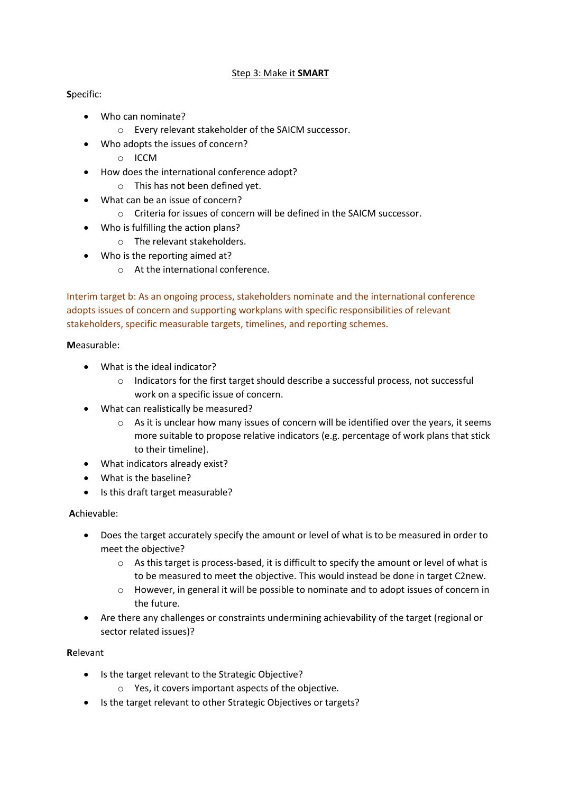## Step 3: Make it **SMART**

## **S**pecific:

- Who can nominate?
	- o Every relevant stakeholder of the SAICM successor.
	- Who adopts the issues of concern?
		- o ICCM
- How does the international conference adopt?
	- o This has not been defined yet.
- What can be an issue of concern?
	- o Criteria for issues of concern will be defined in the SAICM successor.
	- Who is fulfilling the action plans?
		- o The relevant stakeholders.
- Who is the reporting aimed at?
	- o At the international conference.

Interim target b: As an ongoing process, stakeholders nominate and the international conference adopts issues of concern and supporting workplans with specific responsibilities of relevant stakeholders, specific measurable targets, timelines, and reporting schemes.

#### **M**easurable:

- What is the ideal indicator?
	- o Indicators for the first target should describe a successful process, not successful work on a specific issue of concern.
- What can realistically be measured?
	- $\circ$  As it is unclear how many issues of concern will be identified over the years, it seems more suitable to propose relative indicators (e.g. percentage of work plans that stick to their timeline).
- What indicators already exist?
- What is the baseline?
- Is this draft target measurable?

#### **A**chievable:

- Does the target accurately specify the amount or level of what is to be measured in order to meet the objective?
	- $\circ$  As this target is process-based, it is difficult to specify the amount or level of what is to be measured to meet the objective. This would instead be done in target C2new.
	- o However, in general it will be possible to nominate and to adopt issues of concern in the future.
- Are there any challenges or constraints undermining achievability of the target (regional or sector related issues)?

#### **R**elevant

- Is the target relevant to the Strategic Objective?
	- o Yes, it covers important aspects of the objective.
- Is the target relevant to other Strategic Objectives or targets?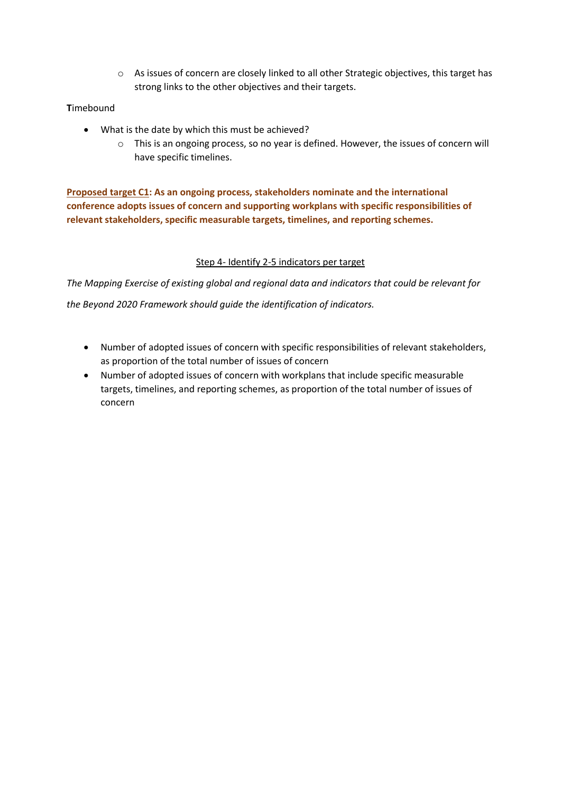o As issues of concern are closely linked to all other Strategic objectives, this target has strong links to the other objectives and their targets.

# **T**imebound

- What is the date by which this must be achieved?
	- o This is an ongoing process, so no year is defined. However, the issues of concern will have specific timelines.

**Proposed target C1: As an ongoing process, stakeholders nominate and the international conference adopts issues of concern and supporting workplans with specific responsibilities of relevant stakeholders, specific measurable targets, timelines, and reporting schemes.**

## Step 4- Identify 2-5 indicators per target

*The Mapping Exercise of existing global and regional data and indicators that could be relevant for* 

*the Beyond 2020 Framework should guide the identification of indicators.* 

- Number of adopted issues of concern with specific responsibilities of relevant stakeholders, as proportion of the total number of issues of concern
- Number of adopted issues of concern with workplans that include specific measurable targets, timelines, and reporting schemes, as proportion of the total number of issues of concern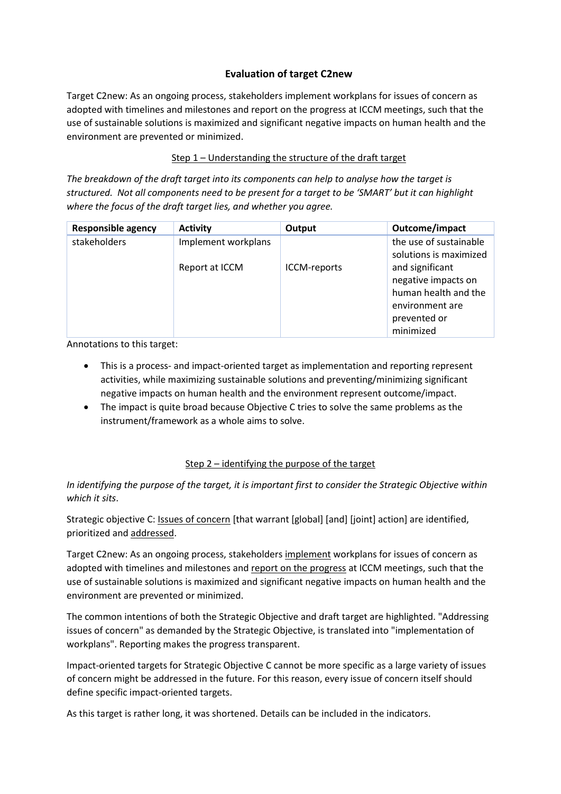# **Evaluation of target C2new**

Target C2new: As an ongoing process, stakeholders implement workplans for issues of concern as adopted with timelines and milestones and report on the progress at ICCM meetings, such that the use of sustainable solutions is maximized and significant negative impacts on human health and the environment are prevented or minimized.

## Step 1 – Understanding the structure of the draft target

*The breakdown of the draft target into its components can help to analyse how the target is structured. Not all components need to be present for a target to be 'SMART' but it can highlight where the focus of the draft target lies, and whether you agree.*

| <b>Responsible agency</b> | <b>Activity</b>     | Output       | Outcome/impact                                                                                                 |
|---------------------------|---------------------|--------------|----------------------------------------------------------------------------------------------------------------|
| stakeholders              | Implement workplans |              | the use of sustainable<br>solutions is maximized                                                               |
|                           | Report at ICCM      | ICCM-reports | and significant<br>negative impacts on<br>human health and the<br>environment are<br>prevented or<br>minimized |

Annotations to this target:

- This is a process- and impact-oriented target as implementation and reporting represent activities, while maximizing sustainable solutions and preventing/minimizing significant negative impacts on human health and the environment represent outcome/impact.
- The impact is quite broad because Objective C tries to solve the same problems as the instrument/framework as a whole aims to solve.

#### Step 2 – identifying the purpose of the target

*In identifying the purpose of the target, it is important first to consider the Strategic Objective within which it sits*.

Strategic objective C: Issues of concern [that warrant [global] [and] [joint] action] are identified, prioritized and addressed.

Target C2new: As an ongoing process, stakeholders implement workplans for issues of concern as adopted with timelines and milestones and report on the progress at ICCM meetings, such that the use of sustainable solutions is maximized and significant negative impacts on human health and the environment are prevented or minimized.

The common intentions of both the Strategic Objective and draft target are highlighted. "Addressing issues of concern" as demanded by the Strategic Objective, is translated into "implementation of workplans". Reporting makes the progress transparent.

Impact-oriented targets for Strategic Objective C cannot be more specific as a large variety of issues of concern might be addressed in the future. For this reason, every issue of concern itself should define specific impact-oriented targets.

As this target is rather long, it was shortened. Details can be included in the indicators.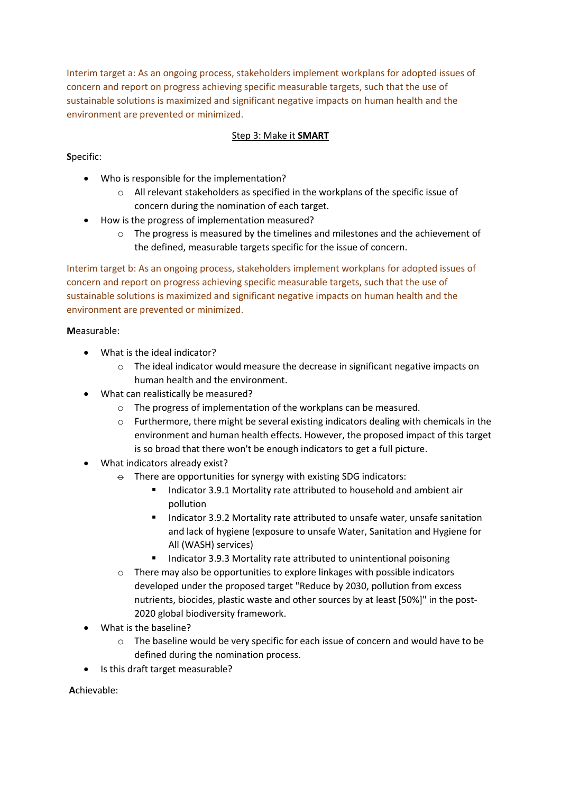Interim target a: As an ongoing process, stakeholders implement workplans for adopted issues of concern and report on progress achieving specific measurable targets, such that the use of sustainable solutions is maximized and significant negative impacts on human health and the environment are prevented or minimized.

## Step 3: Make it **SMART**

**S**pecific:

- Who is responsible for the implementation?
	- $\circ$  All relevant stakeholders as specified in the workplans of the specific issue of concern during the nomination of each target.
- How is the progress of implementation measured?
	- $\circ$  The progress is measured by the timelines and milestones and the achievement of the defined, measurable targets specific for the issue of concern.

Interim target b: As an ongoing process, stakeholders implement workplans for adopted issues of concern and report on progress achieving specific measurable targets, such that the use of sustainable solutions is maximized and significant negative impacts on human health and the environment are prevented or minimized.

#### **M**easurable:

- What is the ideal indicator?
	- $\circ$  The ideal indicator would measure the decrease in significant negative impacts on human health and the environment.
- What can realistically be measured?
	- o The progress of implementation of the workplans can be measured.
	- o Furthermore, there might be several existing indicators dealing with chemicals in the environment and human health effects. However, the proposed impact of this target is so broad that there won't be enough indicators to get a full picture.
- What indicators already exist?
	- $\theta$  There are opportunities for synergy with existing SDG indicators:
		- Indicator 3.9.1 Mortality rate attributed to household and ambient air pollution
		- Indicator 3.9.2 Mortality rate attributed to unsafe water, unsafe sanitation and lack of hygiene (exposure to unsafe Water, Sanitation and Hygiene for All (WASH) services)
		- Indicator 3.9.3 Mortality rate attributed to unintentional poisoning
	- o There may also be opportunities to explore linkages with possible indicators developed under the proposed target "Reduce by 2030, pollution from excess nutrients, biocides, plastic waste and other sources by at least [50%]" in the post-2020 global biodiversity framework.
- What is the baseline?
	- $\circ$  The baseline would be very specific for each issue of concern and would have to be defined during the nomination process.
- Is this draft target measurable?

**A**chievable: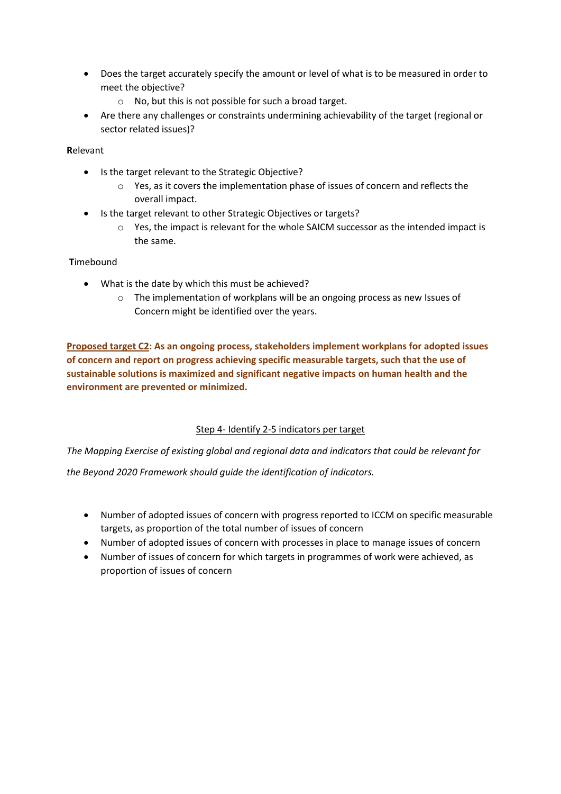- Does the target accurately specify the amount or level of what is to be measured in order to meet the objective?
	- o No, but this is not possible for such a broad target.
- Are there any challenges or constraints undermining achievability of the target (regional or sector related issues)?

## **R**elevant

- Is the target relevant to the Strategic Objective?
	- o Yes, as it covers the implementation phase of issues of concern and reflects the overall impact.
- Is the target relevant to other Strategic Objectives or targets?
	- o Yes, the impact is relevant for the whole SAICM successor as the intended impact is the same.

## **T**imebound

- What is the date by which this must be achieved?
	- o The implementation of workplans will be an ongoing process as new Issues of Concern might be identified over the years.

**Proposed target C2: As an ongoing process, stakeholders implement workplans for adopted issues of concern and report on progress achieving specific measurable targets, such that the use of sustainable solutions is maximized and significant negative impacts on human health and the environment are prevented or minimized.**

# Step 4- Identify 2-5 indicators per target

*The Mapping Exercise of existing global and regional data and indicators that could be relevant for* 

*the Beyond 2020 Framework should guide the identification of indicators.* 

- Number of adopted issues of concern with progress reported to ICCM on specific measurable targets, as proportion of the total number of issues of concern
- Number of adopted issues of concern with processes in place to manage issues of concern
- Number of issues of concern for which targets in programmes of work were achieved, as proportion of issues of concern